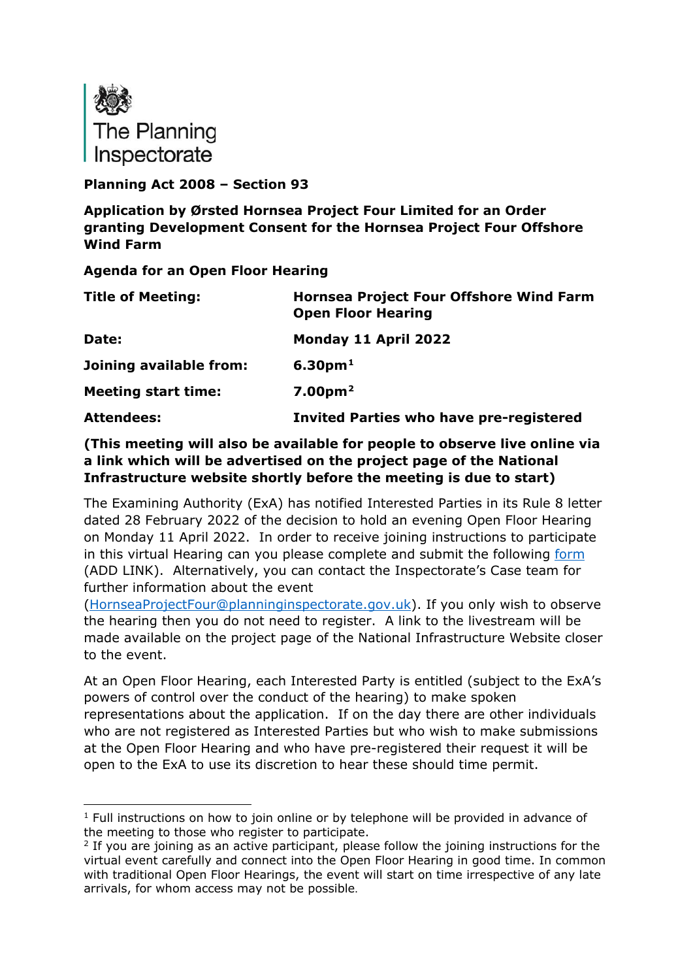

### **Planning Act 2008 – Section 93**

**Application by Ørsted Hornsea Project Four Limited for an Order granting Development Consent for the Hornsea Project Four Offshore Wind Farm**

**Agenda for an Open Floor Hearing**

| <b>Title of Meeting:</b>   | <b>Hornsea Project Four Offshore Wind Farm</b><br><b>Open Floor Hearing</b> |
|----------------------------|-----------------------------------------------------------------------------|
| Date:                      | Monday 11 April 2022                                                        |
| Joining available from:    | 6.30 <sub>pm1</sub>                                                         |
| <b>Meeting start time:</b> | 7.00 <sub>pm</sub> <sup>2</sup>                                             |
| <b>Attendees:</b>          | <b>Invited Parties who have pre-registered</b>                              |

## **(This meeting will also be available for people to observe live online via a link which will be advertised on the project page of the National Infrastructure website shortly before the meeting is due to start)**

The Examining Authority (ExA) has notified Interested Parties in its Rule 8 letter dated 28 February 2022 of the decision to hold an evening Open Floor Hearing on Monday 11 April 2022. In order to receive joining instructions to participate in this virtual Hearing can you please complete and submit the following [form](https://forms.office.com/pages/responsepage.aspx?id=mN94WIhvq0iTIpmM5VcIje6FHDvzmKBHiEi84DrjxWpUOEJNN00zTTVVTzhaVUxBSU1KTkFMUjY5SC4u) (ADD LINK). Alternatively, you can contact the Inspectorate's Case team for further information about the event

[\(HornseaProjectFour@planninginspectorate.gov.uk\)](mailto:HornseaProjectFour@planninginspectorate.gov.uk). If you only wish to observe the hearing then you do not need to register. A link to the livestream will be made available on the project page of the National Infrastructure Website closer to the event.

At an Open Floor Hearing, each Interested Party is entitled (subject to the ExA's powers of control over the conduct of the hearing) to make spoken representations about the application. If on the day there are other individuals who are not registered as Interested Parties but who wish to make submissions at the Open Floor Hearing and who have pre-registered their request it will be open to the ExA to use its discretion to hear these should time permit.

<span id="page-0-0"></span> $<sup>1</sup>$  Full instructions on how to join online or by telephone will be provided in advance of</sup> the meeting to those who register to participate.

<span id="page-0-1"></span><sup>&</sup>lt;sup>2</sup> If you are joining as an active participant, please follow the joining instructions for the virtual event carefully and connect into the Open Floor Hearing in good time. In common with traditional Open Floor Hearings, the event will start on time irrespective of any late arrivals, for whom access may not be possible.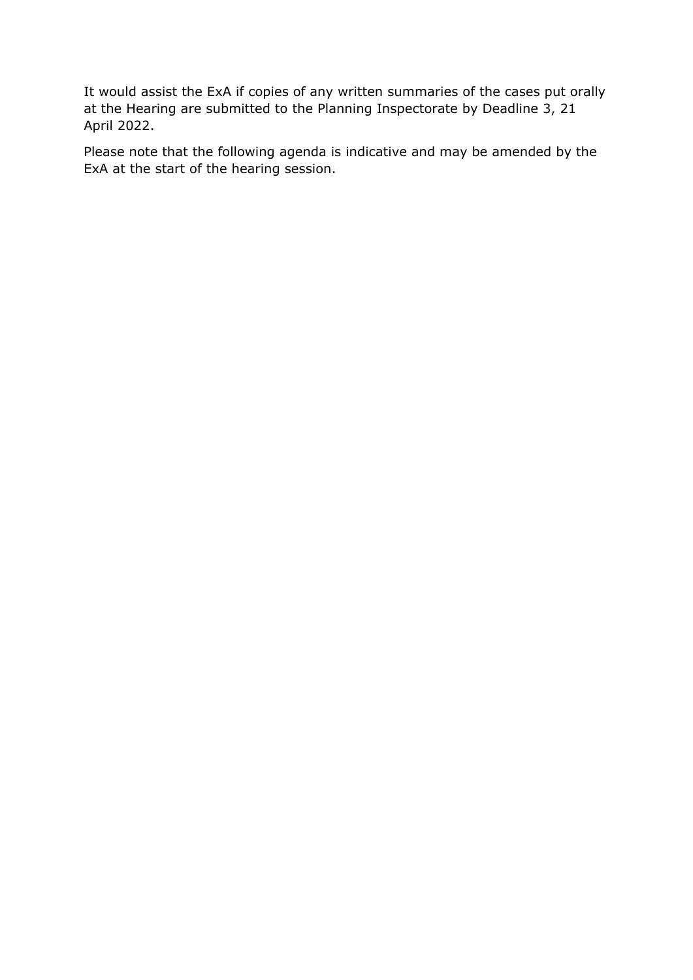It would assist the ExA if copies of any written summaries of the cases put orally at the Hearing are submitted to the Planning Inspectorate by Deadline 3, 21 April 2022.

Please note that the following agenda is indicative and may be amended by the ExA at the start of the hearing session.